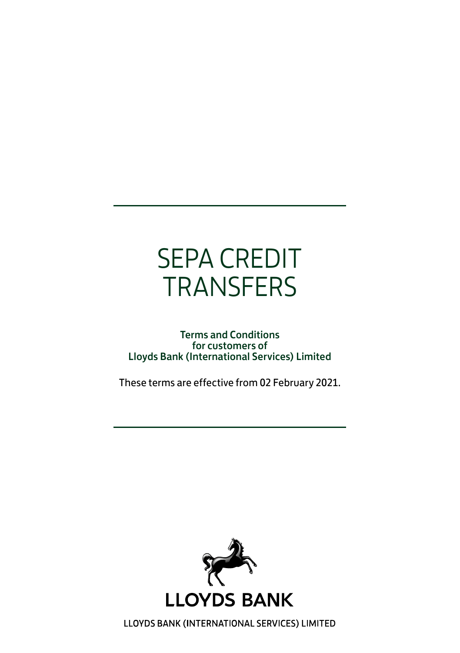# SEPA CREDIT **TRANSFERS**

#### Terms and Conditions for customers of Lloyds Bank (International Services) Limited

These terms are effective from 02 February 2021.



LLOYDS BANK (INTERNATIONAL SERVICES) LIMITED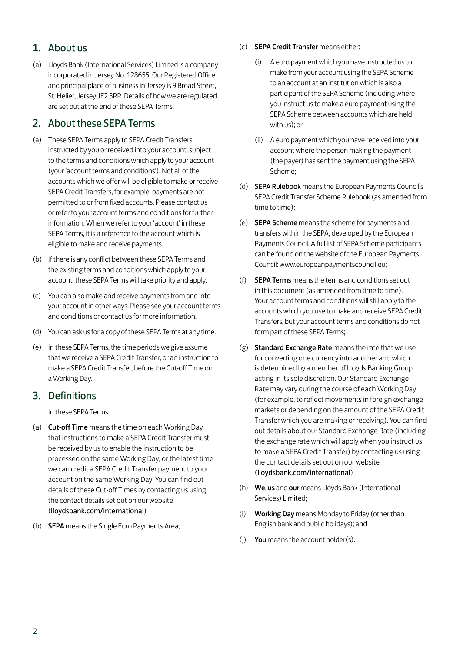#### 1. About us

(a) Lloyds Bank (International Services) Limited is a company incorporated in Jersey No. 128655. Our Registered Office and principal place of business in Jersey is 9 Broad Street, St. Helier, Jersey JE2 3RR. Details of how we are regulated are set out at the end of these SEPA Terms.

#### 2. About these SEPA Terms

- (a) These SEPA Terms apply to SEPA Credit Transfers instructed by you or received into your account, subject to the terms and conditions which apply to your account (your 'account terms and conditions'). Not all of the accounts which we offer will be eligible to make or receive SEPA Credit Transfers, for example, payments are not permitted to or from fixed accounts. Please contact us or refer to your account terms and conditions for further information. When we refer to your 'account' in these SEPA Terms, it is a reference to the account which is eligible to make and receive payments.
- (b) If there is any conflict between these SEPA Terms and the existing terms and conditions which apply to your account, these SEPA Terms will take priority and apply.
- (c) You can also make and receive payments from and into your account in other ways. Please see your account terms and conditions or contact us for more information.
- (d) You can ask us for a copy of these SEPA Terms at any time.
- (e) In these SEPA Terms, the time periods we give assume that we receive a SEPA Credit Transfer, or an instruction to make a SEPA Credit Transfer, before the Cut-off Time on a Working Day.

#### 3. Definitions

In these SEPA Terms:

- (a) Cut-off Time means the time on each Working Day that instructions to make a SEPA Credit Transfer must be received by us to enable the instruction to be processed on the same Working Day, or the latest time we can credit a SEPA Credit Transfer payment to your account on the same Working Day. You can find out details of these Cut-off Times by contacting us using the contact details set out on our website (lloydsbank.com/international)
- (b) SEPA means the Single Euro Payments Area;
- (c) SEPA Credit Transfer means either:
	- (i) A euro payment which you have instructed us to make from your account using the SEPA Scheme to an account at an institution which is also a participant of the SEPA Scheme (including where you instruct us to make a euro payment using the SEPA Scheme between accounts which are held with us); or
	- (ii) A euro payment which you have received into your account where the person making the payment (the payer) has sent the payment using the SEPA Scheme;
- (d) SEPA Rulebook means the European Payments Council's SEPA Credit Transfer Scheme Rulebook (as amended from time to time);
- (e) SEPA Scheme means the scheme for payments and transfers within the SEPA, developed by the European Payments Council. A full list of SEPA Scheme participants can be found on the website of the European Payments Council: www.europeanpaymentscouncil.eu;
- (f) SEPA Terms means the terms and conditions set out in this document (as amended from time to time). Your account terms and conditions will still apply to the accounts which you use to make and receive SEPA Credit Transfers, but your account terms and conditions do not form part of these SEPA Terms;
- (g) Standard Exchange Rate means the rate that we use for converting one currency into another and which is determined by a member of Lloyds Banking Group acting in its sole discretion. Our Standard Exchange Rate may vary during the course of each Working Day (for example, to reflect movements in foreign exchange markets or depending on the amount of the SEPA Credit Transfer which you are making or receiving). You can find out details about our Standard Exchange Rate (including the exchange rate which will apply when you instruct us to make a SEPA Credit Transfer) by contacting us using the contact details set out on our website (lloydsbank.com/international)
- (h) We, us and our means Lloyds Bank (International Services) Limited;
- (i) Working Day means Monday to Friday (other than English bank and public holidays); and
- (i) You means the account holder(s).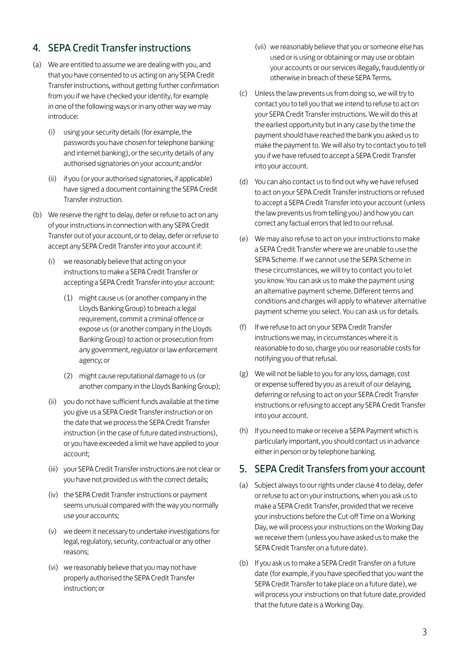# 4. SEPA Credit Transfer instructions

- (a) We are entitled to assume we are dealing with you, and that you have consented to us acting on any SEPA Credit Transfer instructions, without getting further confirmation from you if we have checked your identity, for example in one of the following ways or in any other way we may introduce:
	- (i) using your security details (for example, the passwords you have chosen for telephone banking and internet banking), or the security details of any authorised signatories on your account; and/or
	- (ii) if you (or your authorised signatories, if applicable) have signed a document containing the SEPA Credit Transfer instruction.
- (b) We reserve the right to delay, defer or refuse to act on any of your instructions in connection with any SEPA Credit Transfer out of your account, or to delay, defer or refuse to accept any SEPA Credit Transfer into your account if:
	- (i) we reasonably believe that acting on your instructions to make a SEPA Credit Transfer or accepting a SEPA Credit Transfer into your account:
		- (1) might cause us (or another company in the Lloyds Banking Group) to breach a legal requirement, commit a criminal offence or expose us (or another company in the Lloyds Banking Group) to action or prosecution from any government, regulator or law enforcement agency; or
		- (2) might cause reputational damage to us (or another company in the Lloyds Banking Group);
	- (ii) you do not have sufficient funds available at the time you give us a SEPA Credit Transfer instruction or on the date that we process the SEPA Credit Transfer instruction (in the case of future dated instructions), or you have exceeded a limit we have applied to your account;
	- (iii) your SEPA Credit Transfer instructions are not clear or you have not provided us with the correct details;
	- (iv) the SEPA Credit Transfer instructions or payment seems unusual compared with the way you normally use your accounts;
	- (v) we deem it necessary to undertake investigations for legal, regulatory, security, contractual or any other reasons;
	- (vi) we reasonably believe that you may not have properly authorised the SEPA Credit Transfer instruction; or
- (vii) we reasonably believe that you or someone else has used or is using or obtaining or may use or obtain your accounts or our services illegally, fraudulently or otherwise in breach of these SEPA Terms.
- (c) Unless the law prevents us from doing so, we will try to contact you to tell you that we intend to refuse to act on your SEPA Credit Transfer instructions. We will do this at the earliest opportunity but in any case by the time the payment should have reached the bank you asked us to make the payment to. We will also try to contact you to tell you if we have refused to accept a SEPA Credit Transfer into your account.
- (d) You can also contact us to find out why we have refused to act on your SEPA Credit Transfer instructions or refused to accept a SEPA Credit Transfer into your account (unless the law prevents us from telling you) and how you can correct any factual errors that led to our refusal.
- (e) We may also refuse to act on your instructions to make a SEPA Credit Transfer where we are unable to use the SEPA Scheme. If we cannot use the SEPA Scheme in these circumstances, we will try to contact you to let you know. You can ask us to make the payment using an alternative payment scheme. Different terms and conditions and charges will apply to whatever alternative payment scheme you select. You can ask us for details.
- (f) If we refuse to act on your SEPA Credit Transfer instructions we may, in circumstances where it is reasonable to do so, charge you our reasonable costs for notifying you of that refusal.
- (g) We will not be liable to you for any loss, damage, cost or expense suffered by you as a result of our delaying, deferring or refusing to act on your SEPA Credit Transfer instructions or refusing to accept any SEPA Credit Transfer into your account.
- (h) If you need to make or receive a SEPA Payment which is particularly important, you should contact us in advance either in person or by telephone banking.

#### 5. SEPA Credit Transfers from your account

- (a) Subject always to our rights under clause 4 to delay, defer or refuse to act on your instructions, when you ask us to make a SEPA Credit Transfer, provided that we receive your instructions before the Cut-off Time on a Working Day, we will process your instructions on the Working Day we receive them (unless you have asked us to make the SEPA Credit Transfer on a future date).
- (b) If you ask us to make a SEPA Credit Transfer on a future date (for example, if you have specified that you want the SEPA Credit Transfer to take place on a future date), we will process your instructions on that future date, provided that the future date is a Working Day.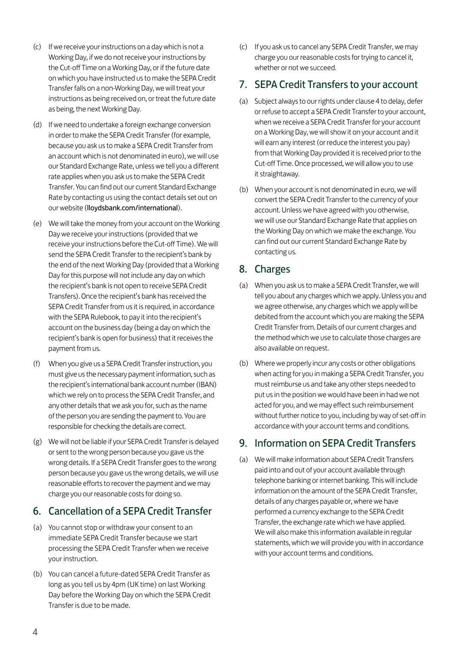- (c) If we receive your instructions on a day which is not a Working Day, if we do not receive your instructions by the Cut-off Time on a Working Day, or if the future date on which you have instructed us to make the SEPA Credit Transfer falls on a non-Working Day, we will treat your instructions as being received on, or treat the future date as being, the next Working Day.
- (d) If we need to undertake a foreign exchange conversion in order to make the SEPA Credit Transfer (for example, because you ask us to make a SEPA Credit Transfer from an account which is not denominated in euro), we will use our Standard Exchange Rate, unless we tell you a different rate applies when you ask us to make the SEPA Credit Transfer. You can find out our current Standard Exchange Rate by contacting us using the contact details set out on our website (lloydsbank.com/international).
- (e) We will take the money from your account on the Working Day we receive your instructions (provided that we receive your instructions before the Cut-off Time). We will send the SEPA Credit Transfer to the recipient's bank by the end of the next Working Day (provided that a Working Day for this purpose will not include any day on which the recipient's bank is not open to receive SEPA Credit Transfers). Once the recipient's bank has received the SEPA Credit Transfer from us it is required, in accordance with the SEPA Rulebook, to pay it into the recipient's account on the business day (being a day on which the recipient's bank is open for business) that it receives the payment from us.
- (f) When you give us a SEPA Credit Transfer instruction, you must give us the necessary payment information, such as the recipient's international bank account number (IBAN) which we rely on to process the SEPA Credit Transfer, and any other details that we ask you for, such as the name of the person you are sending the payment to. You are responsible for checking the details are correct.
- (g) We will not be liable if your SEPA Credit Transfer is delayed or sent to the wrong person because you gave us the wrong details. If a SEPA Credit Transfer goes to the wrong person because you gave us the wrong details, we will use reasonable efforts to recover the payment and we may charge you our reasonable costs for doing so.

#### 6. Cancellation of a SEPA Credit Transfer

- (a) You cannot stop or withdraw your consent to an immediate SEPA Credit Transfer because we start processing the SEPA Credit Transfer when we receive your instruction.
- (b) You can cancel a future-dated SEPA Credit Transfer as long as you tell us by 4pm (UK time) on last Working Day before the Working Day on which the SEPA Credit Transfer is due to be made.

(c) If you ask us to cancel any SEPA Credit Transfer, we may charge you our reasonable costs for trying to cancel it, whether or not we succeed.

### 7. SEPA Credit Transfers to your account

- (a) Subject always to our rights under clause 4 to delay, defer or refuse to accept a SEPA Credit Transfer to your account, when we receive a SEPA Credit Transfer for your account on a Working Day, we will show it on your account and it will earn any interest (or reduce the interest you pay) from that Working Day provided it is received prior to the Cut-off Time. Once processed, we will allow you to use it straightaway.
- (b) When your account is not denominated in euro, we will convert the SEPA Credit Transfer to the currency of your account. Unless we have agreed with you otherwise, we will use our Standard Exchange Rate that applies on the Working Day on which we make the exchange. You can find out our current Standard Exchange Rate by contacting us.

#### 8. Charges

- (a) When you ask us to make a SEPA Credit Transfer, we will tell you about any charges which we apply. Unless you and we agree otherwise, any charges which we apply will be debited from the account which you are making the SEPA Credit Transfer from. Details of our current charges and the method which we use to calculate those charges are also available on request.
- (b) Where we properly incur any costs or other obligations when acting for you in making a SEPA Credit Transfer, you must reimburse us and take any other steps needed to put us in the position we would have been in had we not acted for you, and we may effect such reimbursement without further notice to you, including by way of set-off in accordance with your account terms and conditions.

#### 9. Information on SEPA Credit Transfers

(a) We will make information about SEPA Credit Transfers paid into and out of your account available through telephone banking or internet banking. This will include information on the amount of the SEPA Credit Transfer, details of any charges payable or, where we have performed a currency exchange to the SEPA Credit Transfer, the exchange rate which we have applied. We will also make this information available in regular statements, which we will provide you with in accordance with your account terms and conditions.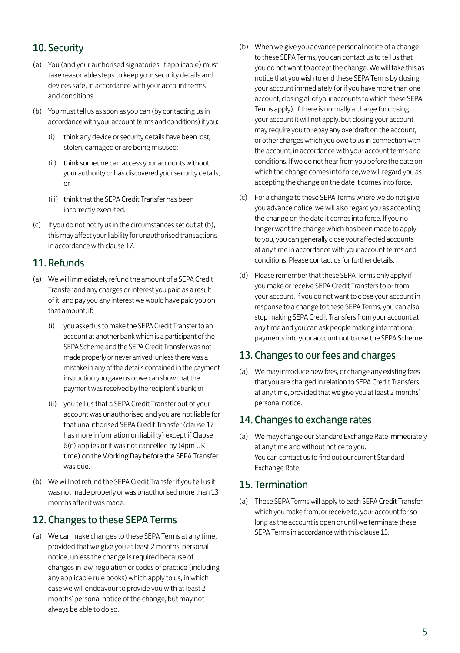# 10. Security

- (a) You (and your authorised signatories, if applicable) must take reasonable steps to keep your security details and devices safe, in accordance with your account terms and conditions.
- (b) You must tell us as soon as you can (by contacting us in accordance with your account terms and conditions) if you:
	- (i) think any device or security details have been lost, stolen, damaged or are being misused;
	- (ii) think someone can access your accounts without your authority or has discovered your security details; or
	- (iii) think that the SEPA Credit Transfer has been incorrectly executed.
- (c) If you do not notify us in the circumstances set out at (b), this may affect your liability for unauthorised transactions in accordance with clause 17.

#### 11. Refunds

- (a) We will immediately refund the amount of a SEPA Credit Transfer and any charges or interest you paid as a result of it, and pay you any interest we would have paid you on that amount, if:
	- (i) you asked us to make the SEPA Credit Transfer to an account at another bank which is a participant of the SEPA Scheme and the SEPA Credit Transfer was not made properly or never arrived, unless there was a mistake in any of the details contained in the payment instruction you gave us or we can show that the payment was received by the recipient's bank; or
	- (ii) you tell us that a SEPA Credit Transfer out of your account was unauthorised and you are not liable for that unauthorised SEPA Credit Transfer (clause 17 has more information on liability) except if Clause 6(c) applies or it was not cancelled by (4pm UK time) on the Working Day before the SEPA Transfer was due.
- (b) We will not refund the SEPA Credit Transfer if you tell us it was not made properly or was unauthorised more than 13 months after it was made.

#### 12. Changes to these SEPA Terms

(a) We can make changes to these SEPA Terms at any time, provided that we give you at least 2 months' personal notice, unless the change is required because of changes in law, regulation or codes of practice (including any applicable rule books) which apply to us, in which case we will endeavour to provide you with at least 2 months' personal notice of the change, but may not always be able to do so.

- (b) When we give you advance personal notice of a change to these SEPA Terms, you can contact us to tell us that you do not want to accept the change. We will take this as notice that you wish to end these SEPA Terms by closing your account immediately (or if you have more than one account, closing all of your accounts to which these SEPA Terms apply). If there is normally a charge for closing your account it will not apply, but closing your account may require you to repay any overdraft on the account, or other charges which you owe to us in connection with the account, in accordance with your account terms and conditions. If we do not hear from you before the date on which the change comes into force, we will regard you as accepting the change on the date it comes into force.
- (c) For a change to these SEPA Terms where we do not give you advance notice, we will also regard you as accepting the change on the date it comes into force. If you no longer want the change which has been made to apply to you, you can generally close your affected accounts at any time in accordance with your account terms and conditions. Please contact us for further details.
- (d) Please remember that these SEPA Terms only apply if you make or receive SEPA Credit Transfers to or from your account. If you do not want to close your account in response to a change to these SEPA Terms, you can also stop making SEPA Credit Transfers from your account at any time and you can ask people making international payments into your account not to use the SEPA Scheme.

#### 13. Changes to our fees and charges

(a) We may introduce new fees, or change any existing fees that you are charged in relation to SEPA Credit Transfers at any time, provided that we give you at least 2 months' personal notice.

#### 14. Changes to exchange rates

(a) We may change our Standard Exchange Rate immediately at any time and without notice to you. You can contact us to find out our current Standard Exchange Rate.

#### 15. Termination

(a) These SEPA Terms will apply to each SEPA Credit Transfer which you make from, or receive to, your account for so long as the account is open or until we terminate these SEPA Terms in accordance with this clause 15.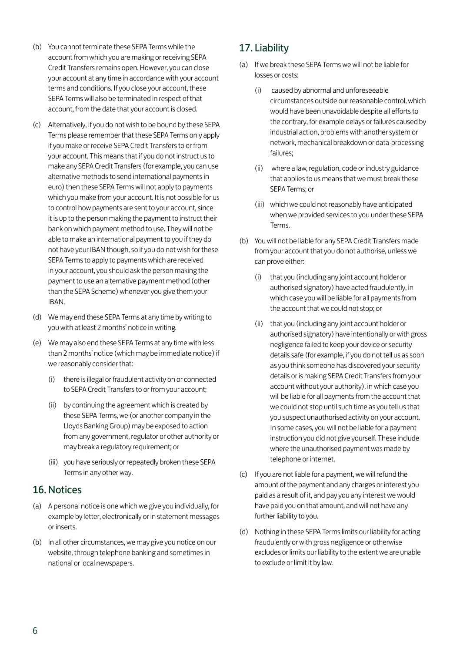- (b) You cannot terminate these SEPA Terms while the account from which you are making or receiving SEPA Credit Transfers remains open. However, you can close your account at any time in accordance with your account terms and conditions. If you close your account, these SEPA Terms will also be terminated in respect of that account, from the date that your account is closed.
- (c) Alternatively, if you do not wish to be bound by these SEPA Terms please remember that these SEPA Terms only apply if you make or receive SEPA Credit Transfers to or from your account. This means that if you do not instruct us to make any SEPA Credit Transfers (for example, you can use alternative methods to send international payments in euro) then these SEPA Terms will not apply to payments which you make from your account. It is not possible for us to control how payments are sent to your account, since it is up to the person making the payment to instruct their bank on which payment method to use. They will not be able to make an international payment to you if they do not have your IBAN though, so if you do not wish for these SEPA Terms to apply to payments which are received in your account, you should ask the person making the payment to use an alternative payment method (other than the SEPA Scheme) whenever you give them your IBAN.
- (d) We may end these SEPA Terms at any time by writing to you with at least 2 months' notice in writing.
- (e) We may also end these SEPA Terms at any time with less than 2 months' notice (which may be immediate notice) if we reasonably consider that:
	- (i) there is illegal or fraudulent activity on or connected to SEPA Credit Transfers to or from your account;
	- (ii) by continuing the agreement which is created by these SEPA Terms, we (or another company in the Lloyds Banking Group) may be exposed to action from any government, regulator or other authority or may break a regulatory requirement; or
	- (iii) you have seriously or repeatedly broken these SEPA Terms in any other way.

#### 16.Notices

- (a) A personal notice is one which we give you individually, for example by letter, electronically or in statement messages or inserts.
- (b) In all other circumstances, we may give you notice on our website, through telephone banking and sometimes in national or local newspapers.

# 17. Liability

- (a) If we break these SEPA Terms we will not be liable for losses or costs:
	- (i) caused by abnormal and unforeseeable circumstances outside our reasonable control, which would have been unavoidable despite all efforts to the contrary, for example delays or failures caused by industrial action, problems with another system or network, mechanical breakdown or data-processing failures;
	- (ii) where a law, regulation, code or industry guidance that applies to us means that we must break these SEPA Terms; or
	- (iii) which we could not reasonably have anticipated when we provided services to you under these SEPA Torme
- (b) You will not be liable for any SEPA Credit Transfers made from your account that you do not authorise, unless we can prove either:
	- (i) that you (including any joint account holder or authorised signatory) have acted fraudulently, in which case you will be liable for all payments from the account that we could not stop; or
	- (ii) that you (including any joint account holder or authorised signatory) have intentionally or with gross negligence failed to keep your device or security details safe (for example, if you do not tell us as soon as you think someone has discovered your security details or is making SEPA Credit Transfers from your account without your authority), in which case you will be liable for all payments from the account that we could not stop until such time as you tell us that you suspect unauthorised activity on your account. In some cases, you will not be liable for a payment instruction you did not give yourself. These include where the unauthorised payment was made by telephone or internet.
- (c) If you are not liable for a payment, we will refund the amount of the payment and any charges or interest you paid as a result of it, and pay you any interest we would have paid you on that amount, and will not have any further liability to you.
- (d) Nothing in these SEPA Terms limits our liability for acting fraudulently or with gross negligence or otherwise excludes or limits our liability to the extent we are unable to exclude or limit it by law.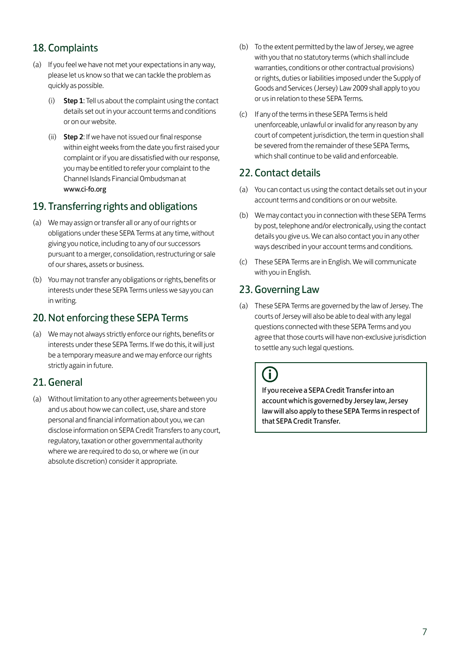# 18. Complaints

- (a) If you feel we have not met your expectations in any way, please let us know so that we can tackle the problem as quickly as possible.
	- (i) Step 1: Tell us about the complaint using the contact details set out in your account terms and conditions or on our website.
	- (ii) Step 2: If we have not issued our final response within eight weeks from the date you first raised your complaint or if you are dissatisfied with our response, you may be entitled to refer your complaint to the Channel Islands Financial Ombudsman at www.ci-fo.org

# 19. Transferring rights and obligations

- (a) We may assign or transfer all or any of our rights or obligations under these SEPA Terms at any time, without giving you notice, including to any of our successors pursuant to a merger, consolidation, restructuring or sale of our shares, assets or business.
- (b) You may not transfer any obligations or rights, benefits or interests under these SEPA Terms unless we say you can in writing.

# 20.Not enforcing these SEPA Terms

(a) We may not always strictly enforce our rights, benefits or interests under these SEPA Terms. If we do this, it will just be a temporary measure and we may enforce our rights strictly again in future.

#### 21. General

(a) Without limitation to any other agreements between you and us about how we can collect, use, share and store personal and financial information about you, we can disclose information on SEPA Credit Transfers to any court, regulatory, taxation or other governmental authority where we are required to do so, or where we (in our absolute discretion) consider it appropriate.

- (b) To the extent permitted by the law of Jersey, we agree with you that no statutory terms (which shall include warranties, conditions or other contractual provisions) or rights, duties or liabilities imposed under the Supply of Goods and Services (Jersey) Law 2009 shall apply to you or us in relation to these SEPA Terms.
- (c) If any of the terms in these SEPA Terms is held unenforceable, unlawful or invalid for any reason by any court of competent jurisdiction, the term in question shall be severed from the remainder of these SEPA Terms, which shall continue to be valid and enforceable.

#### 22. Contact details

- (a) You can contact us using the contact details set out in your account terms and conditions or on our website.
- (b) We may contact you in connection with these SEPA Terms by post, telephone and/or electronically, using the contact details you give us. We can also contact you in any other ways described in your account terms and conditions.
- (c) These SEPA Terms are in English. We will communicate with you in English.

# 23. Governing Law

(a) These SEPA Terms are governed by the law of Jersey. The courts of Jersey will also be able to deal with any legal questions connected with these SEPA Terms and you agree that those courts will have non-exclusive jurisdiction to settle any such legal questions.

# Ŧ

If you receive a SEPA Credit Transfer into an account which is governed by Jersey law, Jersey law will also apply to these SEPA Terms in respect of that SEPA Credit Transfer.